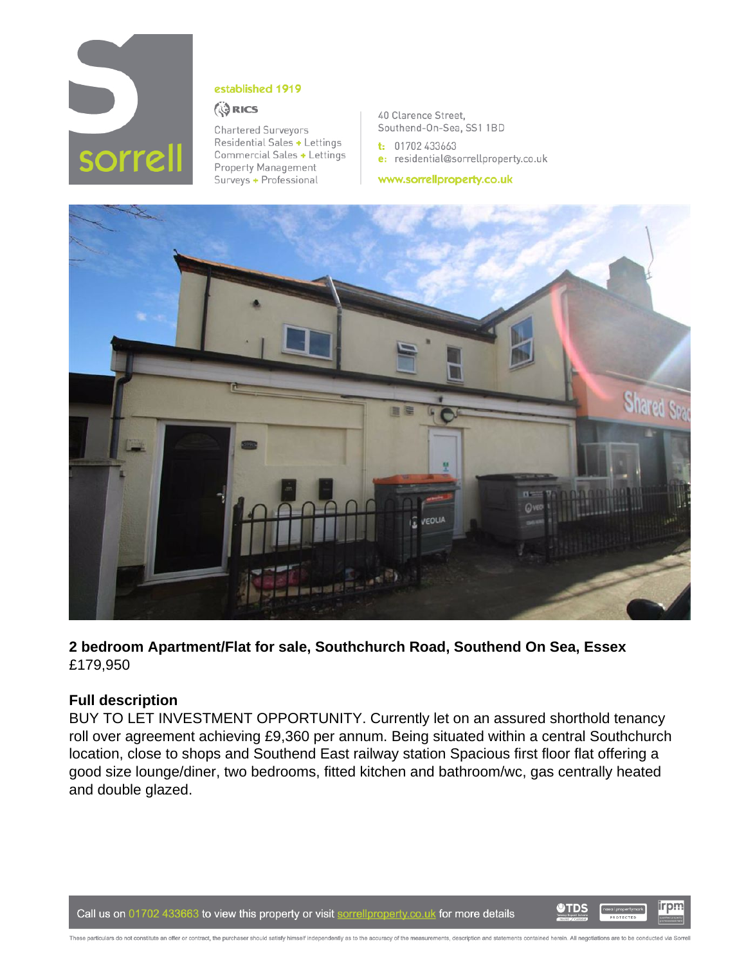

#### established 1919

#### **ORICS**

**Chartered Surveyors** Residential Sales + Lettings Commercial Sales + Lettings Property Management Surveys + Professional

40 Clarence Street, Southend-On-Sea, SS1 1BD

 $t: 01702433663$ e: residential@sorrellproperty.co.uk

www.sorrellproperty.co.uk



**2 bedroom Apartment/Flat for sale, Southchurch Road, Southend On Sea, Essex** £179,950

# **Full description**

BUY TO LET INVESTMENT OPPORTUNITY. Currently let on an assured shorthold tenancy roll over agreement achieving £9,360 per annum. Being situated within a central Southchurch location, close to shops and Southend East railway station Spacious first floor flat offering a good size lounge/diner, two bedrooms, fitted kitchen and bathroom/wc, gas centrally heated and double glazed.

Call us on 01702 433663 to view this property or visit sorrellproperty.co.uk for more details



irpm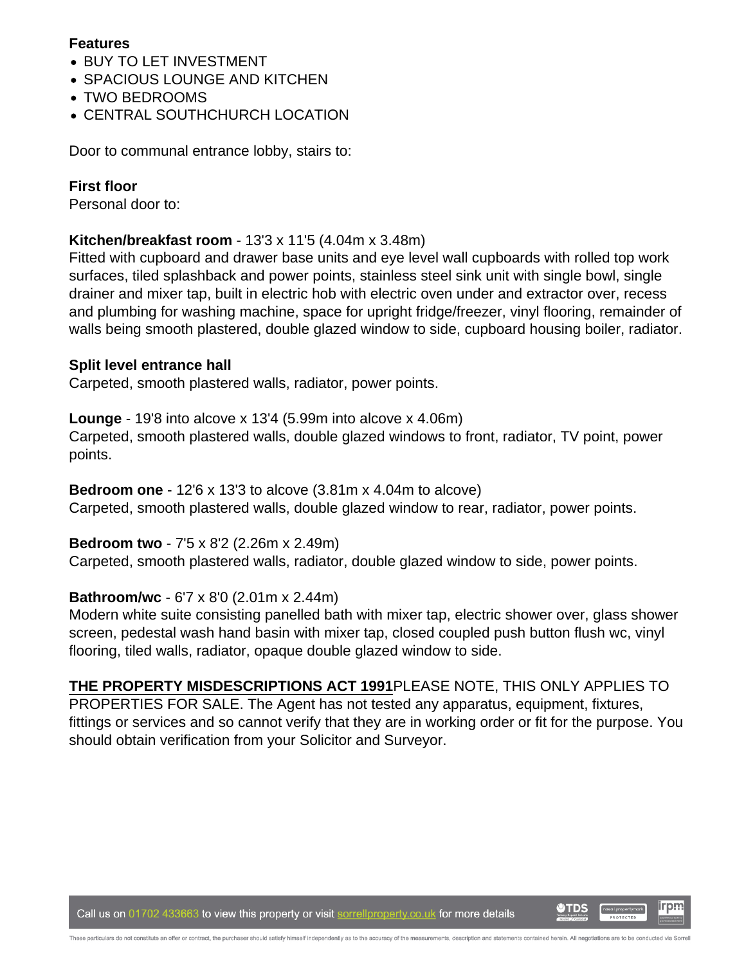### **Features**

- BUY TO LET INVESTMENT
- SPACIOUS LOUNGE AND KITCHEN
- TWO BEDROOMS
- CENTRAL SOUTHCHURCH LOCATION

Door to communal entrance lobby, stairs to:

### **First floor**

Personal door to:

## **Kitchen/breakfast room** - 13'3 x 11'5 (4.04m x 3.48m)

Fitted with cupboard and drawer base units and eye level wall cupboards with rolled top work surfaces, tiled splashback and power points, stainless steel sink unit with single bowl, single drainer and mixer tap, built in electric hob with electric oven under and extractor over, recess and plumbing for washing machine, space for upright fridge/freezer, vinyl flooring, remainder of walls being smooth plastered, double glazed window to side, cupboard housing boiler, radiator.

### **Split level entrance hall**

Carpeted, smooth plastered walls, radiator, power points.

**Lounge** - 19'8 into alcove x 13'4 (5.99m into alcove x 4.06m) Carpeted, smooth plastered walls, double glazed windows to front, radiator, TV point, power points.

**Bedroom one** - 12'6 x 13'3 to alcove (3.81m x 4.04m to alcove) Carpeted, smooth plastered walls, double glazed window to rear, radiator, power points.

### **Bedroom two** - 7'5 x 8'2 (2.26m x 2.49m)

Carpeted, smooth plastered walls, radiator, double glazed window to side, power points.

#### **Bathroom/wc** - 6'7 x 8'0 (2.01m x 2.44m)

Modern white suite consisting panelled bath with mixer tap, electric shower over, glass shower screen, pedestal wash hand basin with mixer tap, closed coupled push button flush wc, vinyl flooring, tiled walls, radiator, opaque double glazed window to side.

**THE PROPERTY MISDESCRIPTIONS ACT 1991**PLEASE NOTE, THIS ONLY APPLIES TO PROPERTIES FOR SALE. The Agent has not tested any apparatus, equipment, fixtures, fittings or services and so cannot verify that they are in working order or fit for the purpose. You should obtain verification from your Solicitor and Surveyor.

Call us on 01702 433663 to view this property or visit sorrellproperty.co.uk for more details

irpm **O**TDS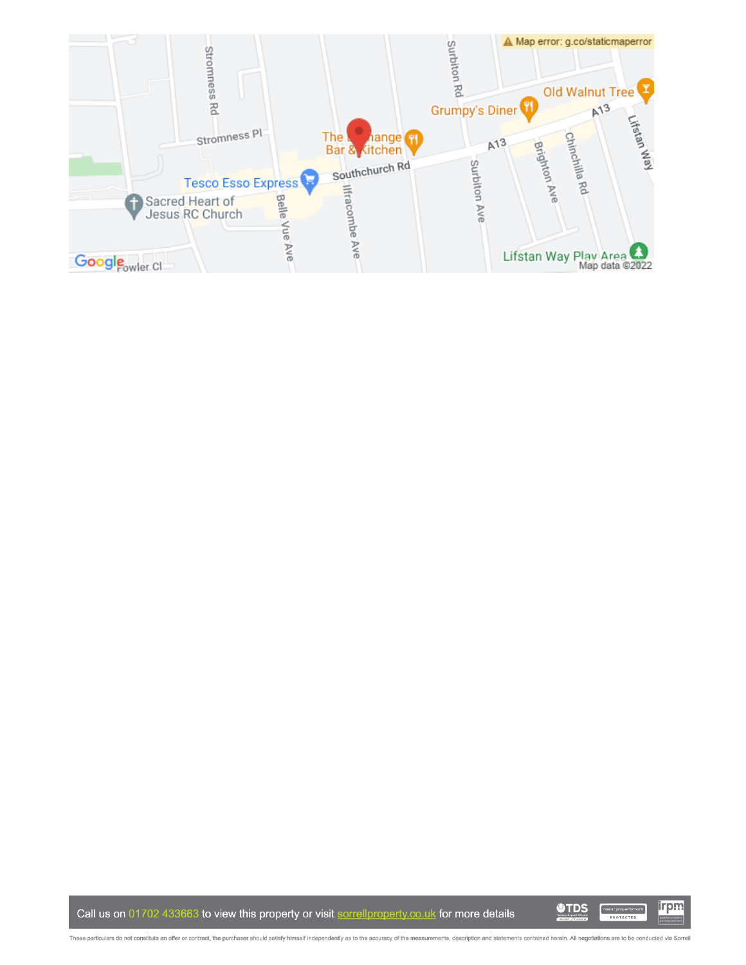

Call us on 01702 433663 to view this property or visit sorrellproperty.co.uk for more details

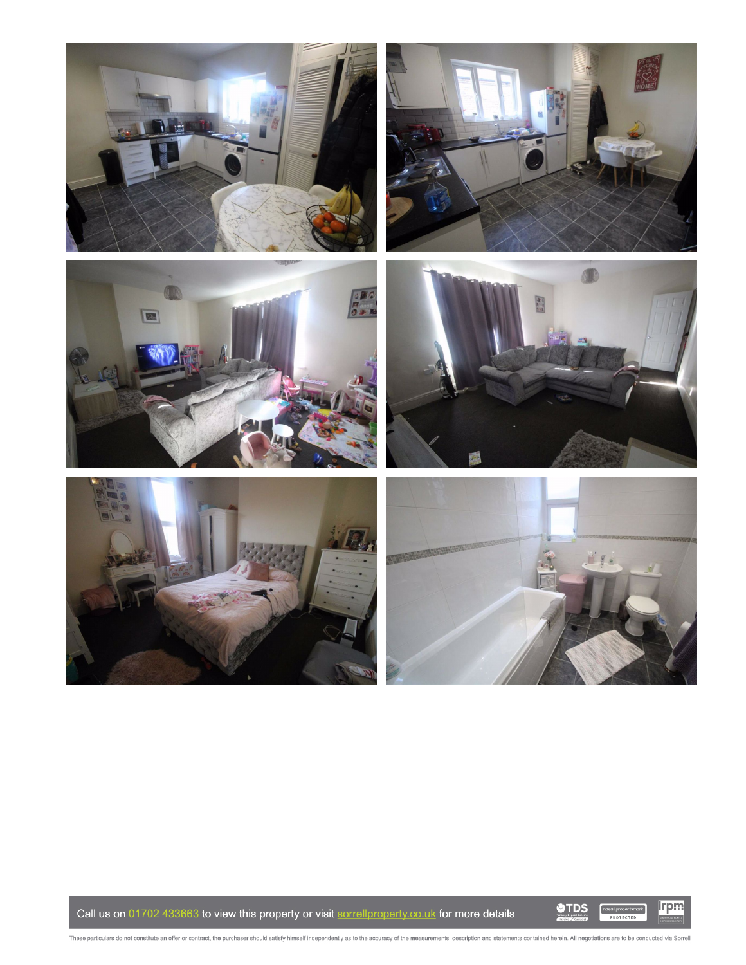











Call us on 01702 433663 to view this property or visit sorrellproperty.co.uk for more details

**OTDS** 

irpm